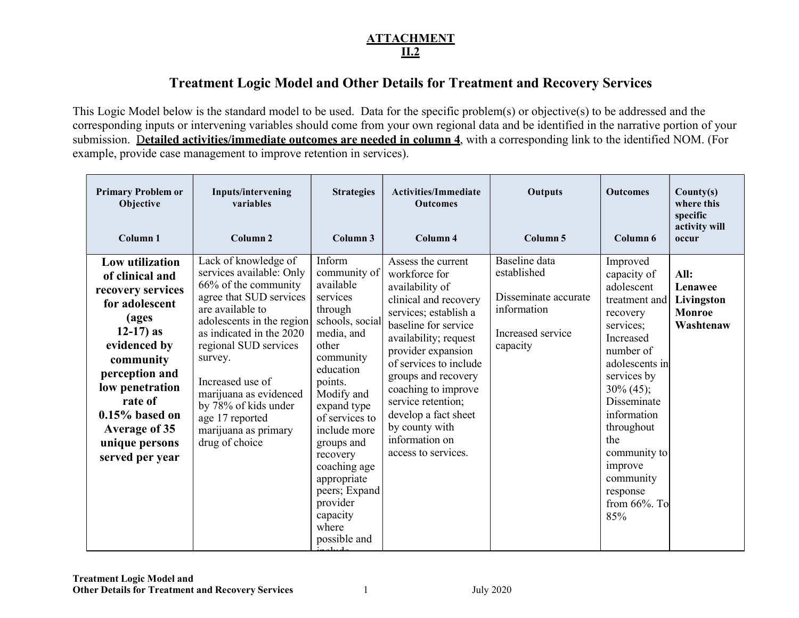# **ATTACHMENT** II.2

# Treatment Logic Model and Other Details for Treatment and Recovery Services

This Logic Model below is the standard model to be used. Data for the specific problem(s) or objective(s) to be addressed and the corresponding inputs or intervening variables should come from your own regional data and be identified in the narrative portion of your submission. Detailed activities/immediate outcomes are needed in column 4, with a corresponding link to the identified NOM. (For example, provide case management to improve retention in services).

| <b>Primary Problem or</b><br>Objective<br>Column <sub>1</sub>                                                                                                                                                                                                     | Inputs/intervening<br>variables<br>Column <sub>2</sub>                                                                                                                                                                                                                                                                                                  | <b>Strategies</b><br>Column <sub>3</sub>                                                                                                                                                                                                                                                                                            | <b>Activities/Immediate</b><br><b>Outcomes</b><br>Column 4                                                                                                                                                                                                                                                                                                       | Outputs<br>Column 5                                                                                  | <b>Outcomes</b><br>Column 6                                                                                                                                                                                                                                                                  | Country(s)<br>where this<br>specific<br>activity will<br>occur |
|-------------------------------------------------------------------------------------------------------------------------------------------------------------------------------------------------------------------------------------------------------------------|---------------------------------------------------------------------------------------------------------------------------------------------------------------------------------------------------------------------------------------------------------------------------------------------------------------------------------------------------------|-------------------------------------------------------------------------------------------------------------------------------------------------------------------------------------------------------------------------------------------------------------------------------------------------------------------------------------|------------------------------------------------------------------------------------------------------------------------------------------------------------------------------------------------------------------------------------------------------------------------------------------------------------------------------------------------------------------|------------------------------------------------------------------------------------------------------|----------------------------------------------------------------------------------------------------------------------------------------------------------------------------------------------------------------------------------------------------------------------------------------------|----------------------------------------------------------------|
| Low utilization<br>of clinical and<br>recovery services<br>for adolescent<br>(ages<br>$12-17$ ) as<br>evidenced by<br>community<br>perception and<br>low penetration<br>rate of<br>$0.15\%$ based on<br><b>Average of 35</b><br>unique persons<br>served per year | Lack of knowledge of<br>services available: Only<br>66% of the community<br>agree that SUD services<br>are available to<br>adolescents in the region<br>as indicated in the 2020<br>regional SUD services<br>survey.<br>Increased use of<br>marijuana as evidenced<br>by 78% of kids under<br>age 17 reported<br>marijuana as primary<br>drug of choice | Inform<br>community of<br>available<br>services<br>through<br>schools, social<br>media, and<br>other<br>community<br>education<br>points.<br>Modify and<br>expand type<br>of services to<br>include more<br>groups and<br>recovery<br>coaching age<br>appropriate<br>peers; Expand<br>provider<br>capacity<br>where<br>possible and | Assess the current<br>workforce for<br>availability of<br>clinical and recovery<br>services; establish a<br>baseline for service<br>availability; request<br>provider expansion<br>of services to include<br>groups and recovery<br>coaching to improve<br>service retention;<br>develop a fact sheet<br>by county with<br>information on<br>access to services. | Baseline data<br>established<br>Disseminate accurate<br>information<br>Increased service<br>capacity | Improved<br>capacity of<br>adolescent<br>treatment and<br>recovery<br>services;<br>Increased<br>number of<br>adolescents in<br>services by<br>$30\% (45);$<br>Disseminate<br>information<br>throughout<br>the<br>community to<br>improve<br>community<br>response<br>from $66\%$ . To<br>85% | All:<br>Lenawee<br>Livingston<br><b>Monroe</b><br>Washtenaw    |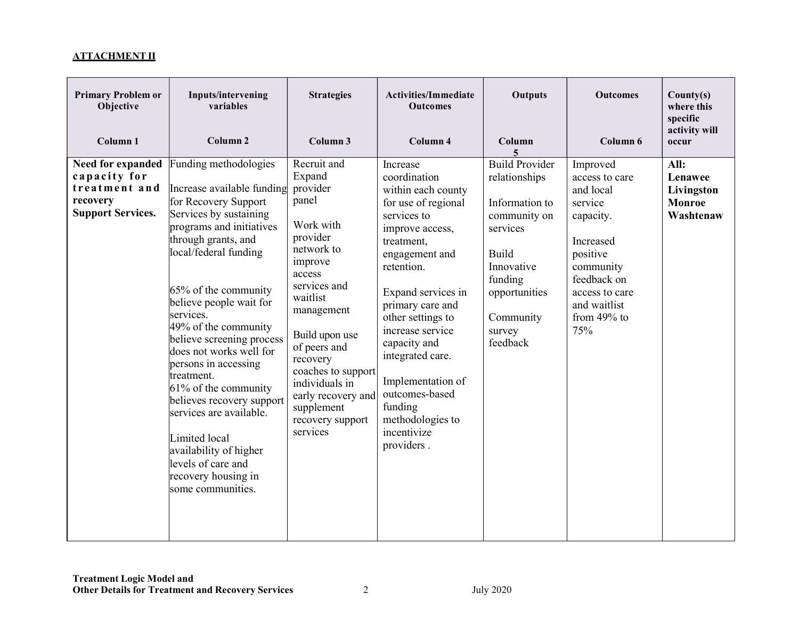### ATTACHMENT II

| <b>Primary Problem or</b><br>Objective<br>Column <sub>1</sub>                              | Inputs/intervening<br>variables<br>Column <sub>2</sub>                                                                                                                                                                                                                                                                                                                                                                                                                                                                                                               | <b>Strategies</b><br>Column 3                                                                                                                                                                                                                                                                              | <b>Activities/Immediate</b><br><b>Outcomes</b><br>Column 4                                                                                                                                                                                                                                                                                                                      | Outputs<br>Column<br>5.                                                                                                                                                           | <b>Outcomes</b><br>Column 6                                                                                                                                                    | Country(s)<br>where this<br>specific<br>activity will<br>occur |
|--------------------------------------------------------------------------------------------|----------------------------------------------------------------------------------------------------------------------------------------------------------------------------------------------------------------------------------------------------------------------------------------------------------------------------------------------------------------------------------------------------------------------------------------------------------------------------------------------------------------------------------------------------------------------|------------------------------------------------------------------------------------------------------------------------------------------------------------------------------------------------------------------------------------------------------------------------------------------------------------|---------------------------------------------------------------------------------------------------------------------------------------------------------------------------------------------------------------------------------------------------------------------------------------------------------------------------------------------------------------------------------|-----------------------------------------------------------------------------------------------------------------------------------------------------------------------------------|--------------------------------------------------------------------------------------------------------------------------------------------------------------------------------|----------------------------------------------------------------|
| Need for expanded<br>capacity for<br>treatment and<br>recovery<br><b>Support Services.</b> | Funding methodologies<br>Increase available funding<br>for Recovery Support<br>Services by sustaining<br>programs and initiatives<br>through grants, and<br>local/federal funding<br>65% of the community<br>believe people wait for<br>services.<br>49% of the community<br>believe screening process<br>does not works well for<br>persons in accessing<br>treatment.<br>61% of the community<br>believes recovery support<br>services are available.<br>Limited local<br>availability of higher<br>levels of care and<br>recovery housing in<br>some communities. | Recruit and<br>Expand<br>provider<br>panel<br>Work with<br>provider<br>network to<br>improve<br>access<br>services and<br>waitlist<br>management<br>Build upon use<br>of peers and<br>recovery<br>coaches to support<br>individuals in<br>early recovery and<br>supplement<br>recovery support<br>services | Increase<br>coordination<br>within each county<br>for use of regional<br>services to<br>improve access,<br>treatment,<br>engagement and<br>retention.<br>Expand services in<br>primary care and<br>other settings to<br>increase service<br>capacity and<br>integrated care.<br>Implementation of<br>outcomes-based<br>funding<br>methodologies to<br>incentivize<br>providers. | <b>Build Provider</b><br>relationships<br>Information to<br>community on<br>services<br><b>Build</b><br>Innovative<br>funding<br>opportunities<br>Community<br>survey<br>feedback | Improved<br>access to care<br>and local<br>service<br>capacity.<br>Increased<br>positive<br>community<br>feedback on<br>access to care<br>and waitlist<br>from $49%$ to<br>75% | All:<br>Lenawee<br>Livingston<br><b>Monroe</b><br>Washtenaw    |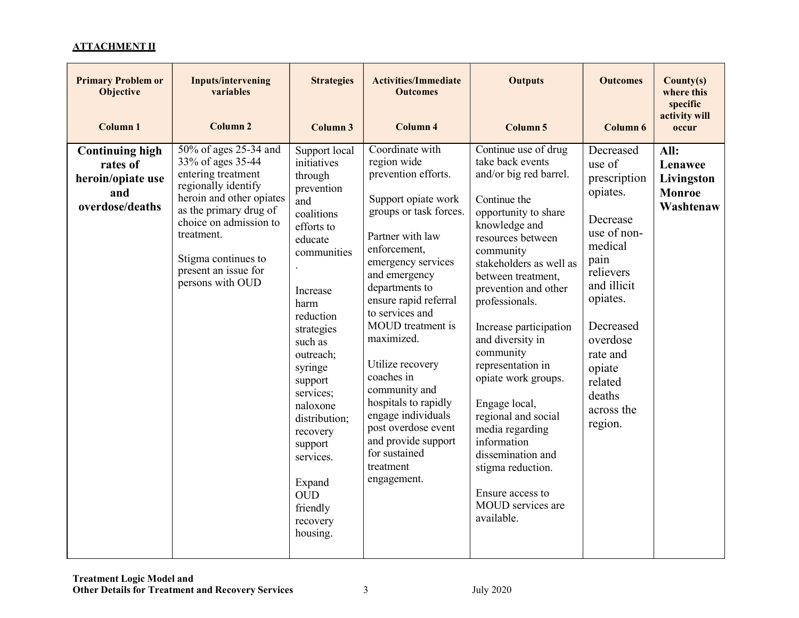#### ATTACHMENT II

| <b>Primary Problem or</b><br><b>Objective</b><br>Column <sub>1</sub>              | <b>Inputs/intervening</b><br>variables<br><b>Column 2</b>                                                                                                                                                                                                | <b>Strategies</b><br>Column 3                                                                                                                                                                                                                                                                                                                             | <b>Activities/Immediate</b><br><b>Outcomes</b><br>Column 4                                                                                                                                                                                                                                                                                                                                                                                                                     | <b>Outputs</b><br>Column 5                                                                                                                                                                                                                                                                                                                                                                                                                                                                                                                 | <b>Outcomes</b><br>Column 6                                                                                                                                                                                                        | Country(s)<br>where this<br>specific<br>activity will<br>occur |
|-----------------------------------------------------------------------------------|----------------------------------------------------------------------------------------------------------------------------------------------------------------------------------------------------------------------------------------------------------|-----------------------------------------------------------------------------------------------------------------------------------------------------------------------------------------------------------------------------------------------------------------------------------------------------------------------------------------------------------|--------------------------------------------------------------------------------------------------------------------------------------------------------------------------------------------------------------------------------------------------------------------------------------------------------------------------------------------------------------------------------------------------------------------------------------------------------------------------------|--------------------------------------------------------------------------------------------------------------------------------------------------------------------------------------------------------------------------------------------------------------------------------------------------------------------------------------------------------------------------------------------------------------------------------------------------------------------------------------------------------------------------------------------|------------------------------------------------------------------------------------------------------------------------------------------------------------------------------------------------------------------------------------|----------------------------------------------------------------|
| <b>Continuing high</b><br>rates of<br>heroin/opiate use<br>and<br>overdose/deaths | 50% of ages 25-34 and<br>33% of ages 35-44<br>entering treatment<br>regionally identify<br>heroin and other opiates<br>as the primary drug of<br>choice on admission to<br>treatment.<br>Stigma continues to<br>present an issue for<br>persons with OUD | Support local<br>initiatives<br>through<br>prevention<br>and<br>coalitions<br>efforts to<br>educate<br>communities<br>Increase<br>harm<br>reduction<br>strategies<br>such as<br>outreach;<br>syringe<br>support<br>services;<br>naloxone<br>distribution;<br>recovery<br>support<br>services.<br>Expand<br><b>OUD</b><br>friendly<br>recovery<br>housing. | Coordinate with<br>region wide<br>prevention efforts.<br>Support opiate work<br>groups or task forces.<br>Partner with law<br>enforcement,<br>emergency services<br>and emergency<br>departments to<br>ensure rapid referral<br>to services and<br>MOUD treatment is<br>maximized.<br>Utilize recovery<br>coaches in<br>community and<br>hospitals to rapidly<br>engage individuals<br>post overdose event<br>and provide support<br>for sustained<br>treatment<br>engagement. | Continue use of drug<br>take back events<br>and/or big red barrel.<br>Continue the<br>opportunity to share<br>knowledge and<br>resources between<br>community<br>stakeholders as well as<br>between treatment,<br>prevention and other<br>professionals.<br>Increase participation<br>and diversity in<br>community<br>representation in<br>opiate work groups.<br>Engage local,<br>regional and social<br>media regarding<br>information<br>dissemination and<br>stigma reduction.<br>Ensure access to<br>MOUD services are<br>available. | Decreased<br>use of<br>prescription<br>opiates.<br>Decrease<br>use of non-<br>medical<br>pain<br>relievers<br>and illicit<br>opiates.<br>Decreased<br>overdose<br>rate and<br>opiate<br>related<br>deaths<br>across the<br>region. | All:<br>Lenawee<br>Livingston<br><b>Monroe</b><br>Washtenaw    |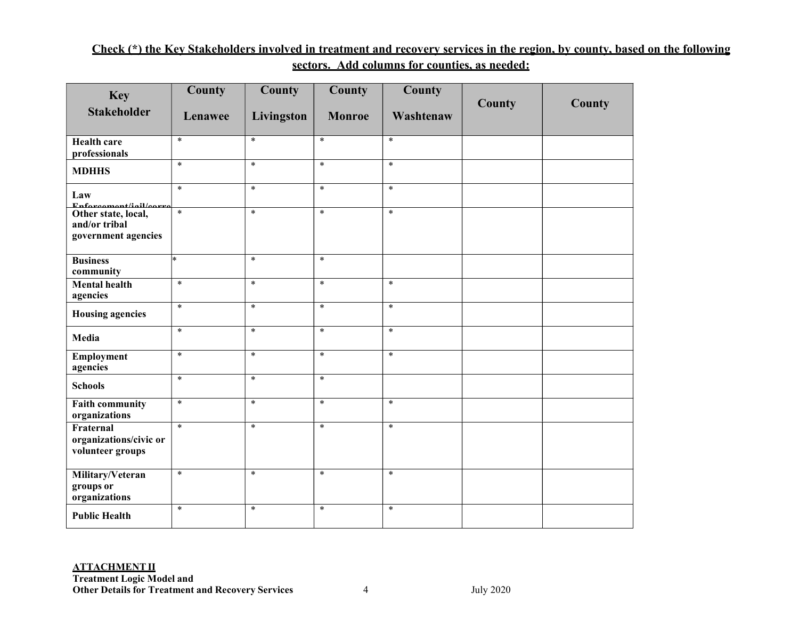# Check (\*) the Key Stakeholders involved in treatment and recovery services in the region, by county, based on the following sectors. Add columns for counties, as needed:

| <b>Key</b>                                                  | <b>County</b>      | County     | County        | County    |        |        |
|-------------------------------------------------------------|--------------------|------------|---------------|-----------|--------|--------|
| <b>Stakeholder</b>                                          | Lenawee            | Livingston | <b>Monroe</b> | Washtenaw | County | County |
| <b>Health care</b><br>professionals                         | $\ast$             | $\ast$     | $\ast$        | $\ast$    |        |        |
| <b>MDHHS</b>                                                | $\ast$             | $\ast$     | $*$           | $*$       |        |        |
| Law<br>Enfor common t/ial/open                              | $\ast$             | $\ast$     | $\ast$        | $\ast$    |        |        |
| Other state, local,<br>and/or tribal<br>government agencies | $\ast$             | $\ast$     | $\ast$        | $\ast$    |        |        |
| <b>Business</b><br>community                                | $\left  * \right $ | $\ast$     | $\ast$        |           |        |        |
| <b>Mental health</b><br>agencies                            | $*$                | $\ast$     | $*$           | $\ast$    |        |        |
| <b>Housing agencies</b>                                     | $*$                | $\ast$     | $*$           | $*$       |        |        |
| Media                                                       | $\ast$             | $\ast$     | $\ast$        | $\ast$    |        |        |
| <b>Employment</b><br>agencies                               | $\ast$             | $\ast$     | $\ast$        | $*$       |        |        |
| <b>Schools</b>                                              | $\ast$             | $*$        | $\ast$        |           |        |        |
| <b>Faith community</b><br>organizations                     | $\ast$             | $\ast$     | $\ast$        | $\ast$    |        |        |
| Fraternal<br>organizations/civic or<br>volunteer groups     | $\ast$             | $\ast$     | $\ast$        | $\ast$    |        |        |
| Military/Veteran<br>groups or<br>organizations              | $\ast$             | $\ast$     | $\ast$        | $\ast$    |        |        |
| <b>Public Health</b>                                        | $\ast$             | $\ast$     | $*$           | $\ast$    |        |        |